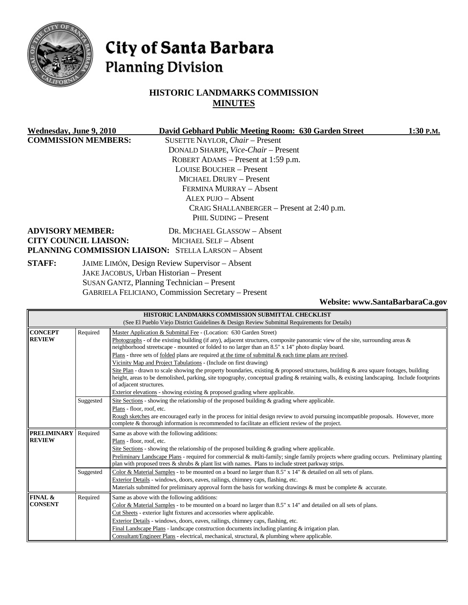

# City of Santa Barbara **Planning Division**

# **HISTORIC LANDMARKS COMMISSION MINUTES**

| Wednesday, June 9, 2010      | David Gebhard Public Meeting Room: 630 Garden Street       | 1:30 P.M. |
|------------------------------|------------------------------------------------------------|-----------|
| <b>COMMISSION MEMBERS:</b>   | SUSETTE NAYLOR, Chair - Present                            |           |
|                              | DONALD SHARPE, Vice-Chair - Present                        |           |
|                              | ROBERT ADAMS - Present at 1:59 p.m.                        |           |
|                              | <b>LOUISE BOUCHER – Present</b>                            |           |
|                              | <b>MICHAEL DRURY - Present</b>                             |           |
|                              | FERMINA MURRAY - Absent                                    |           |
|                              | $ALEX$ PUJO $-$ Absent                                     |           |
|                              | CRAIG SHALLANBERGER – Present at 2:40 p.m.                 |           |
|                              | PHIL SUDING - Present                                      |           |
| <b>ADVISORY MEMBER:</b>      | DR. MICHAEL GLASSOW - Absent                               |           |
| <b>CITY COUNCIL LIAISON:</b> | <b>MICHAEL SELF - Absent</b>                               |           |
|                              | <b>PLANNING COMMISSION LIAISON: STELLA LARSON - Absent</b> |           |
| <b>STAFF:</b>                | JAIME LIMÓN, Design Review Supervisor - Absent             |           |
|                              | JAKE JACOBUS, Urban Historian - Present                    |           |
|                              | SUSAN GANTZ, Planning Technician – Present                 |           |

GABRIELA FELICIANO, Commission Secretary – Present

**Website: www.SantaBarbaraCa.gov** 

|                    |           | HISTORIC LANDMARKS COMMISSION SUBMITTAL CHECKLIST                                                                                                                                                                                        |  |  |
|--------------------|-----------|------------------------------------------------------------------------------------------------------------------------------------------------------------------------------------------------------------------------------------------|--|--|
|                    |           | (See El Pueblo Viejo District Guidelines & Design Review Submittal Requirements for Details)                                                                                                                                             |  |  |
| <b>CONCEPT</b>     | Required  | Master Application & Submittal Fee - (Location: 630 Garden Street)                                                                                                                                                                       |  |  |
| <b>REVIEW</b>      |           | Photographs - of the existing building (if any), adjacent structures, composite panoramic view of the site, surrounding areas $\&$                                                                                                       |  |  |
|                    |           | neighborhood streetscape - mounted or folded to no larger than an 8.5" x 14" photo display board.                                                                                                                                        |  |  |
|                    |           | Plans - three sets of folded plans are required at the time of submittal & each time plans are revised.                                                                                                                                  |  |  |
|                    |           | Vicinity Map and Project Tabulations - (Include on first drawing)                                                                                                                                                                        |  |  |
|                    |           | Site Plan - drawn to scale showing the property boundaries, existing & proposed structures, building & area square footages, building                                                                                                    |  |  |
|                    |           | height, areas to be demolished, parking, site topography, conceptual grading & retaining walls, & existing landscaping. Include footprints                                                                                               |  |  |
|                    |           | of adjacent structures.                                                                                                                                                                                                                  |  |  |
|                    |           | Exterior elevations - showing existing $\&$ proposed grading where applicable.                                                                                                                                                           |  |  |
|                    | Suggested | Site Sections - showing the relationship of the proposed building $\&$ grading where applicable.                                                                                                                                         |  |  |
|                    |           | Plans - floor, roof, etc.                                                                                                                                                                                                                |  |  |
|                    |           | Rough sketches are encouraged early in the process for initial design review to avoid pursuing incompatible proposals. However, more<br>complete & thorough information is recommended to facilitate an efficient review of the project. |  |  |
|                    |           |                                                                                                                                                                                                                                          |  |  |
|                    |           |                                                                                                                                                                                                                                          |  |  |
| <b>PRELIMINARY</b> | Required  | Same as above with the following additions:                                                                                                                                                                                              |  |  |
| <b>REVIEW</b>      |           | Plans - floor, roof, etc.                                                                                                                                                                                                                |  |  |
|                    |           | Site Sections - showing the relationship of the proposed building $\&$ grading where applicable.                                                                                                                                         |  |  |
|                    |           | Preliminary Landscape Plans - required for commercial & multi-family; single family projects where grading occurs. Preliminary planting                                                                                                  |  |  |
|                    |           | plan with proposed trees $\&$ shrubs $\&$ plant list with names. Plans to include street parkway strips.                                                                                                                                 |  |  |
|                    | Suggested | Color & Material Samples - to be mounted on a board no larger than 8.5" x 14" & detailed on all sets of plans.                                                                                                                           |  |  |
|                    |           | Exterior Details - windows, doors, eaves, railings, chimney caps, flashing, etc.                                                                                                                                                         |  |  |
|                    |           | Materials submitted for preliminary approval form the basis for working drawings $\&$ must be complete $\&$ accurate.                                                                                                                    |  |  |
| FINAL &            | Required  | Same as above with the following additions:                                                                                                                                                                                              |  |  |
| <b>CONSENT</b>     |           | Color & Material Samples - to be mounted on a board no larger than $8.5" \times 14"$ and detailed on all sets of plans.                                                                                                                  |  |  |
|                    |           | Cut Sheets - exterior light fixtures and accessories where applicable.                                                                                                                                                                   |  |  |
|                    |           | Exterior Details - windows, doors, eaves, railings, chimney caps, flashing, etc.                                                                                                                                                         |  |  |
|                    |           | Final Landscape Plans - landscape construction documents including planting $&$ irrigation plan.<br>Consultant/Engineer Plans - electrical, mechanical, structural, & plumbing where applicable.                                         |  |  |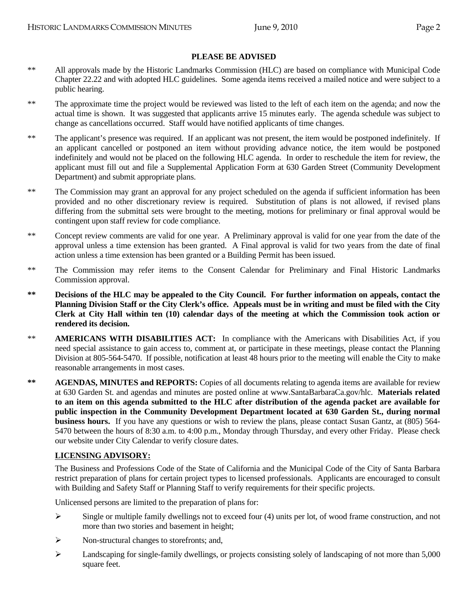## **PLEASE BE ADVISED**

- \*\* All approvals made by the Historic Landmarks Commission (HLC) are based on compliance with Municipal Code Chapter 22.22 and with adopted HLC guidelines. Some agenda items received a mailed notice and were subject to a public hearing.
- \*\* The approximate time the project would be reviewed was listed to the left of each item on the agenda; and now the actual time is shown. It was suggested that applicants arrive 15 minutes early. The agenda schedule was subject to change as cancellations occurred. Staff would have notified applicants of time changes.
- \*\* The applicant's presence was required. If an applicant was not present, the item would be postponed indefinitely. If an applicant cancelled or postponed an item without providing advance notice, the item would be postponed indefinitely and would not be placed on the following HLC agenda. In order to reschedule the item for review, the applicant must fill out and file a Supplemental Application Form at 630 Garden Street (Community Development Department) and submit appropriate plans.
- \*\* The Commission may grant an approval for any project scheduled on the agenda if sufficient information has been provided and no other discretionary review is required. Substitution of plans is not allowed, if revised plans differing from the submittal sets were brought to the meeting, motions for preliminary or final approval would be contingent upon staff review for code compliance.
- \*\* Concept review comments are valid for one year. A Preliminary approval is valid for one year from the date of the approval unless a time extension has been granted. A Final approval is valid for two years from the date of final action unless a time extension has been granted or a Building Permit has been issued.
- \*\* The Commission may refer items to the Consent Calendar for Preliminary and Final Historic Landmarks Commission approval.
- **\*\* Decisions of the HLC may be appealed to the City Council. For further information on appeals, contact the Planning Division Staff or the City Clerk's office. Appeals must be in writing and must be filed with the City Clerk at City Hall within ten (10) calendar days of the meeting at which the Commission took action or rendered its decision.**
- \*\* **AMERICANS WITH DISABILITIES ACT:** In compliance with the Americans with Disabilities Act, if you need special assistance to gain access to, comment at, or participate in these meetings, please contact the Planning Division at 805-564-5470. If possible, notification at least 48 hours prior to the meeting will enable the City to make reasonable arrangements in most cases.
- **\*\* AGENDAS, MINUTES and REPORTS:** Copies of all documents relating to agenda items are available for review at 630 Garden St. and agendas and minutes are posted online at www.SantaBarbaraCa.gov/hlc. **Materials related to an item on this agenda submitted to the HLC after distribution of the agenda packet are available for public inspection in the Community Development Department located at 630 Garden St., during normal business hours.** If you have any questions or wish to review the plans, please contact Susan Gantz, at (805) 564- 5470 between the hours of 8:30 a.m. to 4:00 p.m., Monday through Thursday, and every other Friday. Please check our website under City Calendar to verify closure dates.

### **LICENSING ADVISORY:**

The Business and Professions Code of the State of California and the Municipal Code of the City of Santa Barbara restrict preparation of plans for certain project types to licensed professionals. Applicants are encouraged to consult with Building and Safety Staff or Planning Staff to verify requirements for their specific projects.

Unlicensed persons are limited to the preparation of plans for:

- $\triangleright$  Single or multiple family dwellings not to exceed four (4) units per lot, of wood frame construction, and not more than two stories and basement in height;
- $\triangleright$  Non-structural changes to storefronts; and,
- ¾ Landscaping for single-family dwellings, or projects consisting solely of landscaping of not more than 5,000 square feet.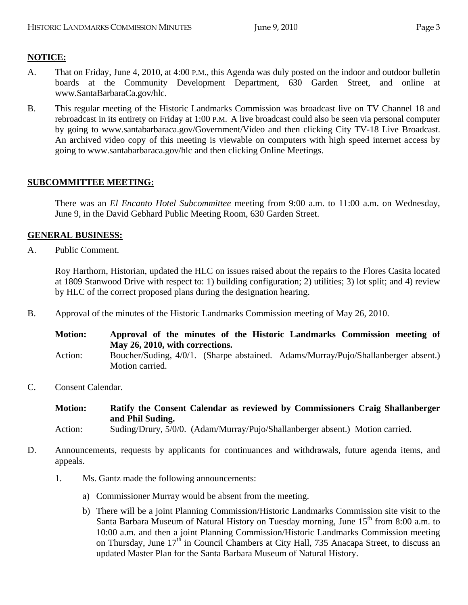# **NOTICE:**

- A. That on Friday, June 4, 2010, at 4:00 P.M., this Agenda was duly posted on the indoor and outdoor bulletin boards at the Community Development Department, 630 Garden Street, and online at www.SantaBarbaraCa.gov/hlc.
- B. This regular meeting of the Historic Landmarks Commission was broadcast live on TV Channel 18 and rebroadcast in its entirety on Friday at 1:00 P.M. A live broadcast could also be seen via personal computer by going to www.santabarbaraca.gov/Government/Video and then clicking City TV-18 Live Broadcast. An archived video copy of this meeting is viewable on computers with high speed internet access by going to www.santabarbaraca.gov/hlc and then clicking Online Meetings.

## **SUBCOMMITTEE MEETING:**

There was an *El Encanto Hotel Subcommittee* meeting from 9:00 a.m. to 11:00 a.m. on Wednesday, June 9, in the David Gebhard Public Meeting Room, 630 Garden Street.

## **GENERAL BUSINESS:**

A. Public Comment.

Roy Harthorn, Historian, updated the HLC on issues raised about the repairs to the Flores Casita located at 1809 Stanwood Drive with respect to: 1) building configuration; 2) utilities; 3) lot split; and 4) review by HLC of the correct proposed plans during the designation hearing.

B. Approval of the minutes of the Historic Landmarks Commission meeting of May 26, 2010.

| <b>Motion:</b> | Approval of the minutes of the Historic Landmarks Commission meeting of<br>May 26, 2010, with corrections. |  |  |
|----------------|------------------------------------------------------------------------------------------------------------|--|--|
| Action:        | Boucher/Suding, 4/0/1. (Sharpe abstained. Adams/Murray/Pujo/Shallanberger absent.)                         |  |  |
|                | Motion carried.                                                                                            |  |  |

C. Consent Calendar.

```
Motion: Ratify the Consent Calendar as reviewed by Commissioners Craig Shallanberger 
and Phil Suding.
```
Action: Suding/Drury, 5/0/0. (Adam/Murray/Pujo/Shallanberger absent.) Motion carried.

- D. Announcements, requests by applicants for continuances and withdrawals, future agenda items, and appeals.
	- 1. Ms. Gantz made the following announcements:
		- a) Commissioner Murray would be absent from the meeting.
		- b) There will be a joint Planning Commission/Historic Landmarks Commission site visit to the Santa Barbara Museum of Natural History on Tuesday morning, June  $15<sup>th</sup>$  from 8:00 a.m. to 10:00 a.m. and then a joint Planning Commission/Historic Landmarks Commission meeting on Thursday, June  $17<sup>th</sup>$  in Council Chambers at City Hall, 735 Anacapa Street, to discuss an updated Master Plan for the Santa Barbara Museum of Natural History.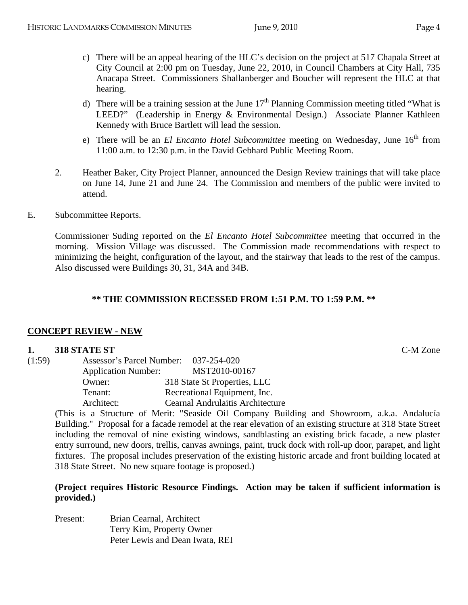- 
- c) There will be an appeal hearing of the HLC's decision on the project at 517 Chapala Street at City Council at 2:00 pm on Tuesday, June 22, 2010, in Council Chambers at City Hall, 735 Anacapa Street. Commissioners Shallanberger and Boucher will represent the HLC at that hearing.
- d) There will be a training session at the June  $17<sup>th</sup>$  Planning Commission meeting titled "What is LEED?" (Leadership in Energy & Environmental Design.) Associate Planner Kathleen Kennedy with Bruce Bartlett will lead the session.
- e) There will be an *El Encanto Hotel Subcommittee* meeting on Wednesday, June 16<sup>th</sup> from 11:00 a.m. to 12:30 p.m. in the David Gebhard Public Meeting Room.
- 2. Heather Baker, City Project Planner, announced the Design Review trainings that will take place on June 14, June 21 and June 24. The Commission and members of the public were invited to attend.
- E. Subcommittee Reports.

Commissioner Suding reported on the *El Encanto Hotel Subcommittee* meeting that occurred in the morning. Mission Village was discussed. The Commission made recommendations with respect to minimizing the height, configuration of the layout, and the stairway that leads to the rest of the campus. Also discussed were Buildings 30, 31, 34A and 34B.

## **\*\* THE COMMISSION RECESSED FROM 1:51 P.M. TO 1:59 P.M. \*\***

## **CONCEPT REVIEW - NEW**

### **1. 318 STATE ST** C-M Zone

| (1:59) | Assessor's Parcel Number:  | 037-254-020                             |
|--------|----------------------------|-----------------------------------------|
|        | <b>Application Number:</b> | MST2010-00167                           |
|        | Owner:                     | 318 State St Properties, LLC            |
|        | Tenant:                    | Recreational Equipment, Inc.            |
|        | Architect:                 | <b>Cearnal Andrulaitis Architecture</b> |

(This is a Structure of Merit: "Seaside Oil Company Building and Showroom, a.k.a. Andalucía Building." Proposal for a facade remodel at the rear elevation of an existing structure at 318 State Street including the removal of nine existing windows, sandblasting an existing brick facade, a new plaster entry surround, new doors, trellis, canvas awnings, paint, truck dock with roll-up door, parapet, and light fixtures. The proposal includes preservation of the existing historic arcade and front building located at 318 State Street. No new square footage is proposed.)

### **(Project requires Historic Resource Findings. Action may be taken if sufficient information is provided.)**

Present: Brian Cearnal, Architect Terry Kim, Property Owner Peter Lewis and Dean Iwata, REI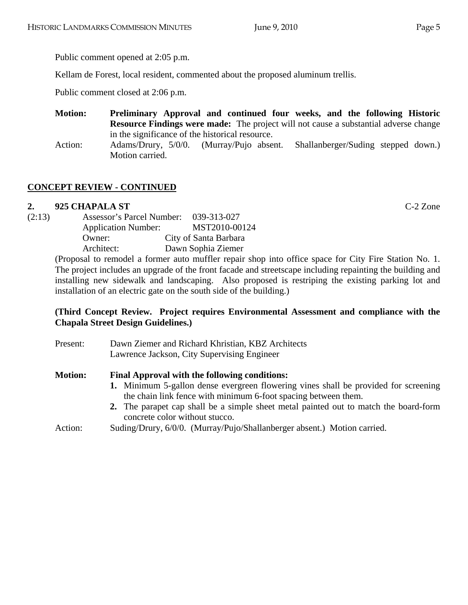Kellam de Forest, local resident, commented about the proposed aluminum trellis.

Public comment closed at 2:06 p.m.

**Motion: Preliminary Approval and continued four weeks, and the following Historic Resource Findings were made:** The project will not cause a substantial adverse change in the significance of the historical resource.

Action: Adams/Drury, 5/0/0. (Murray/Pujo absent. Shallanberger/Suding stepped down.) Motion carried.

# **CONCEPT REVIEW - CONTINUED**

# **2. 925 CHAPALA ST** C-2 Zone

| (2:13) | Assessor's Parcel Number:  | 039-313-027           |
|--------|----------------------------|-----------------------|
|        | <b>Application Number:</b> | MST2010-00124         |
|        | Owner:                     | City of Santa Barbara |
|        | Architect:                 | Dawn Sophia Ziemer    |
|        |                            |                       |

(Proposal to remodel a former auto muffler repair shop into office space for City Fire Station No. 1. The project includes an upgrade of the front facade and streetscape including repainting the building and installing new sidewalk and landscaping. Also proposed is restriping the existing parking lot and installation of an electric gate on the south side of the building.)

## **(Third Concept Review. Project requires Environmental Assessment and compliance with the Chapala Street Design Guidelines.)**

| Present:       | Dawn Ziemer and Richard Khristian, KBZ Architects<br>Lawrence Jackson, City Supervising Engineer                                                      |  |  |
|----------------|-------------------------------------------------------------------------------------------------------------------------------------------------------|--|--|
| <b>Motion:</b> | Final Approval with the following conditions:                                                                                                         |  |  |
|                | 1. Minimum 5-gallon dense evergreen flowering vines shall be provided for screening<br>the chain link fence with minimum 6-foot spacing between them. |  |  |
|                | 2. The parapet cap shall be a simple sheet metal painted out to match the board-form<br>concrete color without stucco.                                |  |  |
| Action:        | Suding/Drury, 6/0/0. (Murray/Pujo/Shallanberger absent.) Motion carried.                                                                              |  |  |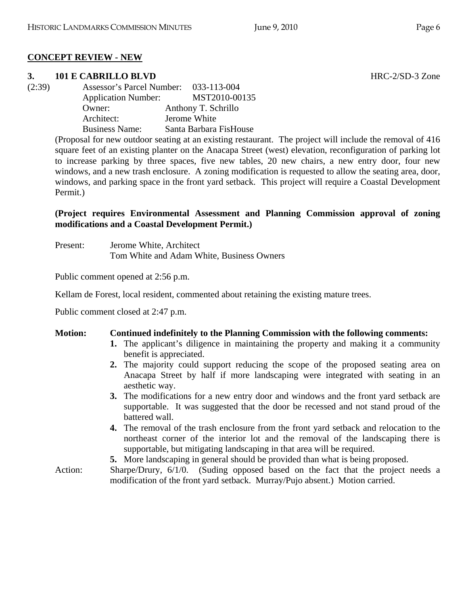# **CONCEPT REVIEW - NEW**

# **3. 101 E CABRILLO BLVD** HRC-2/SD-3 Zone

(2:39) Assessor's Parcel Number: 033-113-004 Application Number: MST2010-00135 Owner: Anthony T. Schrillo Architect: Jerome White Business Name: Santa Barbara FisHouse

> (Proposal for new outdoor seating at an existing restaurant. The project will include the removal of 416 square feet of an existing planter on the Anacapa Street (west) elevation, reconfiguration of parking lot to increase parking by three spaces, five new tables, 20 new chairs, a new entry door, four new windows, and a new trash enclosure. A zoning modification is requested to allow the seating area, door, windows, and parking space in the front yard setback. This project will require a Coastal Development Permit.)

# **(Project requires Environmental Assessment and Planning Commission approval of zoning modifications and a Coastal Development Permit.)**

Present: Jerome White, Architect Tom White and Adam White, Business Owners

Public comment opened at 2:56 p.m.

Kellam de Forest, local resident, commented about retaining the existing mature trees.

Public comment closed at 2:47 p.m.

# **Motion: Continued indefinitely to the Planning Commission with the following comments:**

- **1.** The applicant's diligence in maintaining the property and making it a community benefit is appreciated.
- **2.** The majority could support reducing the scope of the proposed seating area on Anacapa Street by half if more landscaping were integrated with seating in an aesthetic way.
- **3.** The modifications for a new entry door and windows and the front yard setback are supportable. It was suggested that the door be recessed and not stand proud of the battered wall.
- **4.** The removal of the trash enclosure from the front yard setback and relocation to the northeast corner of the interior lot and the removal of the landscaping there is supportable, but mitigating landscaping in that area will be required.
- **5.** More landscaping in general should be provided than what is being proposed.
- Action: Sharpe/Drury, 6/1/0. (Suding opposed based on the fact that the project needs a modification of the front yard setback. Murray/Pujo absent.) Motion carried.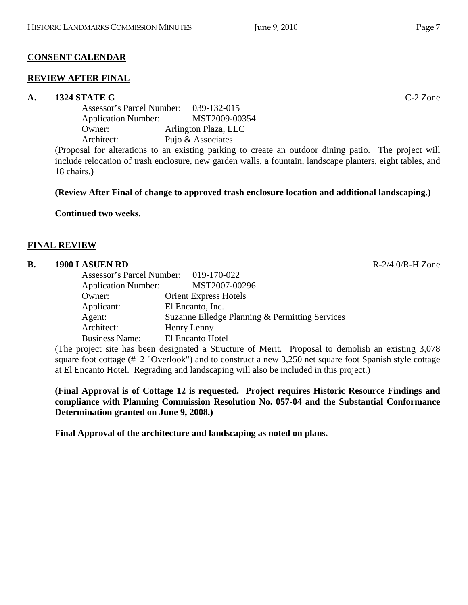## **CONSENT CALENDAR**

## **REVIEW AFTER FINAL**

## **A. 1324 STATE G** C-2 Zone

Assessor's Parcel Number: 039-132-015 Application Number: MST2009-00354 Owner: Arlington Plaza, LLC Architect: Pujo & Associates

(Proposal for alterations to an existing parking to create an outdoor dining patio. The project will include relocation of trash enclosure, new garden walls, a fountain, landscape planters, eight tables, and 18 chairs.)

### **(Review After Final of change to approved trash enclosure location and additional landscaping.)**

**Continued two weeks.** 

### **FINAL REVIEW**

#### **B.** 1900 LASUEN RD R-2/4.0/R-H Zone

| Assessor's Parcel Number: 019-170-022 |                                                |
|---------------------------------------|------------------------------------------------|
| <b>Application Number:</b>            | MST2007-00296                                  |
| Owner:                                | <b>Orient Express Hotels</b>                   |
| Applicant:                            | El Encanto, Inc.                               |
| Agent:                                | Suzanne Elledge Planning & Permitting Services |
| Architect:                            | Henry Lenny                                    |
| <b>Business Name:</b>                 | El Encanto Hotel                               |
| .                                     | $\sim$ $\sim$ $\sim$ $\sim$                    |

(The project site has been designated a Structure of Merit. Proposal to demolish an existing 3,078 square foot cottage (#12 "Overlook") and to construct a new 3,250 net square foot Spanish style cottage at El Encanto Hotel. Regrading and landscaping will also be included in this project.)

**(Final Approval is of Cottage 12 is requested. Project requires Historic Resource Findings and compliance with Planning Commission Resolution No. 057-04 and the Substantial Conformance Determination granted on June 9, 2008.)** 

**Final Approval of the architecture and landscaping as noted on plans.**